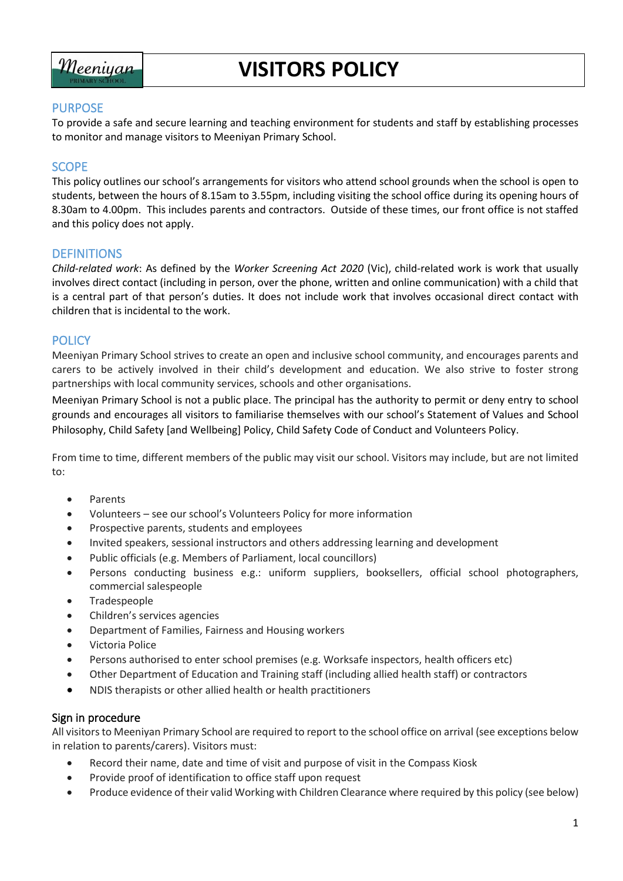

# **VISITORS POLICY**

## PURPOSE

To provide a safe and secure learning and teaching environment for students and staff by establishing processes to monitor and manage visitors to Meeniyan Primary School.

## **SCOPE**

This policy outlines our school's arrangements for visitors who attend school grounds when the school is open to students, between the hours of 8.15am to 3.55pm, including visiting the school office during its opening hours of 8.30am to 4.00pm. This includes parents and contractors. Outside of these times, our front office is not staffed and this policy does not apply.

### **DEFINITIONS**

*Child-related work*: As defined by the *Worker Screening Act 2020* (Vic), child-related work is work that usually involves direct contact (including in person, over the phone, written and online communication) with a child that is a central part of that person's duties. It does not include work that involves occasional direct contact with children that is incidental to the work.

### **POLICY**

Meeniyan Primary School strives to create an open and inclusive school community, and encourages parents and carers to be actively involved in their child's development and education. We also strive to foster strong partnerships with local community services, schools and other organisations.

Meeniyan Primary School is not a public place. The principal has the authority to permit or deny entry to school grounds and encourages all visitors to familiarise themselves with our school's Statement of Values and School Philosophy, Child Safety [and Wellbeing] Policy, Child Safety Code of Conduct and Volunteers Policy.

From time to time, different members of the public may visit our school. Visitors may include, but are not limited to:

- Parents
- Volunteers see our school's Volunteers Policy for more information
- Prospective parents, students and employees
- Invited speakers, sessional instructors and others addressing learning and development
- Public officials (e.g. Members of Parliament, local councillors)
- Persons conducting business e.g.: uniform suppliers, booksellers, official school photographers, commercial salespeople
- Tradespeople
- Children's services agencies
- Department of Families, Fairness and Housing workers
- Victoria Police
- Persons authorised to enter school premises (e.g. Worksafe inspectors, health officers etc)
- Other Department of Education and Training staff (including allied health staff) or contractors
- NDIS therapists or other allied health or health practitioners

#### Sign in procedure

All visitors to Meeniyan Primary School are required to report to the school office on arrival (see exceptions below in relation to parents/carers). Visitors must:

- Record their name, date and time of visit and purpose of visit in the Compass Kiosk
- Provide proof of identification to office staff upon request
- Produce evidence of their valid Working with Children Clearance where required by this policy (see below)